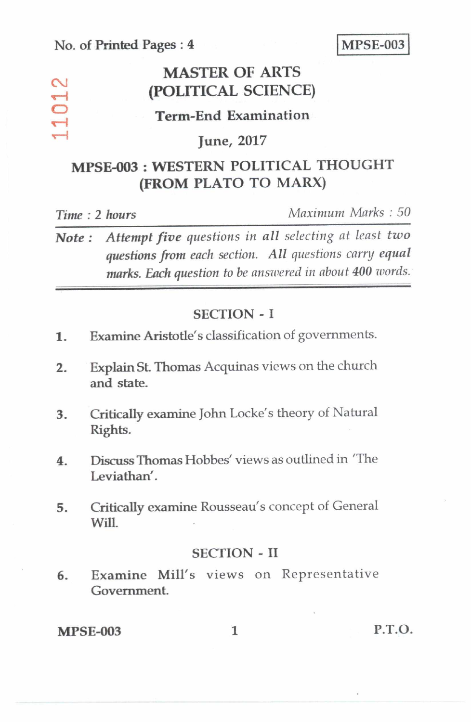$\sim$  $\overline{\phantom{0}}$  $\overline{\mathbf{C}}$  $\overline{\phantom{0}}$ 

## **MASTER OF ARTS (POLITICAL SCIENCE)**

### **Term-End Examination**

### **June, 2017**

# **MPSE-003 : WESTERN POLITICAL THOUGHT (FROM PLATO TO MARX)**

*Time : 2 hours Maximum Marks : 50* 

*Note : Attempt five questions in all selecting at least two questions from each section. All questions carry equal marks. Each question to be answered in about 400 words.* 

### **SECTION - I**

- **1. Examine Aristotle's** classification of governments.
- **2. Explain St. Thomas** Acquinas views on the church **and state.**
- **3. Critically examine John** Locke's theory of Natural **Rights.**
- *4. Discuss* **Thomas** Hobbes' views as outlined in 'The Leviathan'.
- **5. Critically examine** Rousseau's concept of General Will.

#### **SECTION - II**

**6. Examine Mill's** views on Representative **Government.** 

**MPSE-003 1 P.T.O.**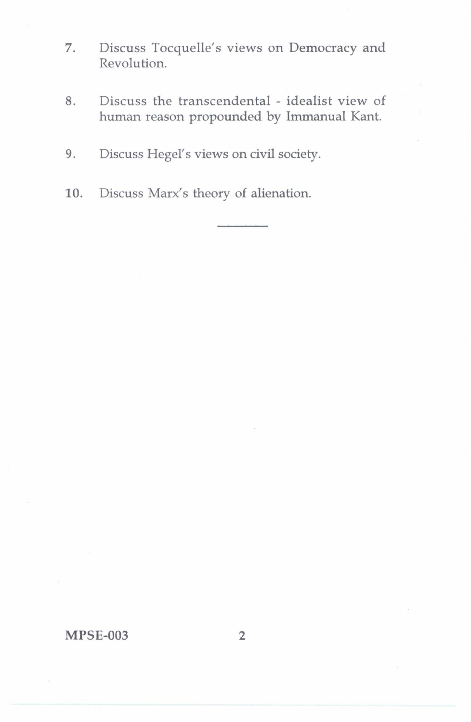- 7. Discuss Tocquelle's views on Democracy and Revolution.
- 8. Discuss the transcendental idealist view of human reason propounded by Immanual Kant.
- 9. Discuss Hegel's views on civil society.
- 10. Discuss Marx's theory of alienation.

MPSE-003 2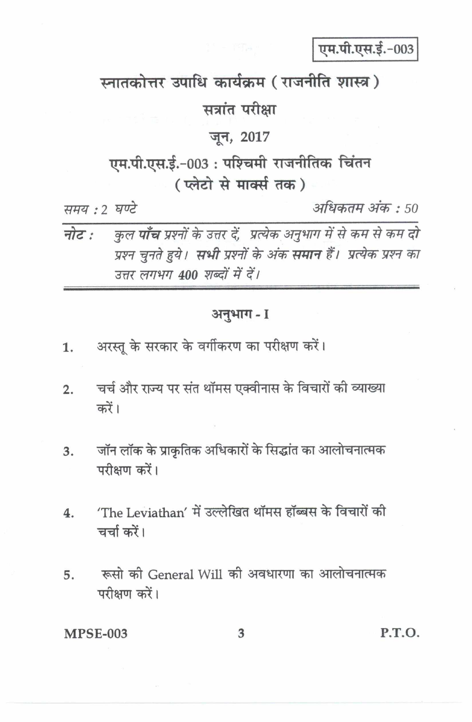एम.पी.एस.ई.-003

स्नातकोत्तर उपाधि कार्यक्रम (राजनीति शास्त्र)

सत्रांत परीक्षा

### जून, 2017

# एम.पी.एस.ई.-003: पश्चिमी राजनीतिक चिंतन ( प्लेटो से मार्क्स तक)

समय : २ घण्टे

अधिकतम अंक : 50

कुल **पाँच** प्रश्नों के उत्तर दें, प्रत्येक अनुभाग में से कम से कम दो नोट : प्रश्न चुनते हुये। **सभी** प्रश्नों के अंक **समान** हैं। प्रत्येक प्रश्न का उत्तर लगभग 400 शब्दों में दें।

#### अनुभाग-1

- अरस्तू के सरकार के वर्गीकरण का परीक्षण करें।  $\mathbf{1}$ .
- चर्च और राज्य पर संत थॉमस एक्वीनास के विचारों की व्याख्या  $2.$ करें।
- जॉन लॉक के प्राकृतिक अधिकारों के सिद्धांत का आलोचनात्मक 3. परीक्षण करें।
- 'The Leviathan' में उल्लेखित थॉमस हॉब्बस के विचारों की 4. चर्चा करें।
- रूसो की General Will की अवधारणा का आलोचनात्मक 5. परीक्षण करें।

**MPSE-003** 

3

P.T.O.